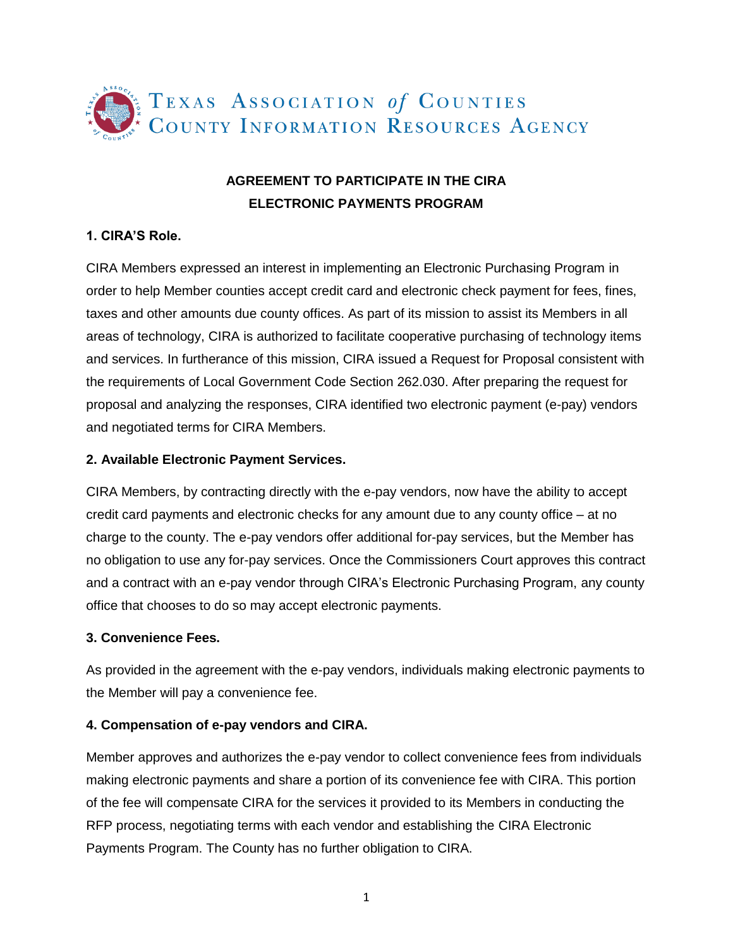

# **AGREEMENT TO PARTICIPATE IN THE CIRA ELECTRONIC PAYMENTS PROGRAM**

## **1. CIRA'S Role.**

CIRA Members expressed an interest in implementing an Electronic Purchasing Program in order to help Member counties accept credit card and electronic check payment for fees, fines, taxes and other amounts due county offices. As part of its mission to assist its Members in all areas of technology, CIRA is authorized to facilitate cooperative purchasing of technology items and services. In furtherance of this mission, CIRA issued a Request for Proposal consistent with the requirements of Local Government Code Section 262.030. After preparing the request for proposal and analyzing the responses, CIRA identified two electronic payment (e-pay) vendors and negotiated terms for CIRA Members.

#### **2. Available Electronic Payment Services.**

CIRA Members, by contracting directly with the e-pay vendors, now have the ability to accept credit card payments and electronic checks for any amount due to any county office – at no charge to the county. The e-pay vendors offer additional for-pay services, but the Member has no obligation to use any for-pay services. Once the Commissioners Court approves this contract and a contract with an e-pay vendor through CIRA's Electronic Purchasing Program, any county office that chooses to do so may accept electronic payments.

#### **3. Convenience Fees.**

As provided in the agreement with the e-pay vendors, individuals making electronic payments to the Member will pay a convenience fee.

#### **4. Compensation of e-pay vendors and CIRA.**

Member approves and authorizes the e-pay vendor to collect convenience fees from individuals making electronic payments and share a portion of its convenience fee with CIRA. This portion of the fee will compensate CIRA for the services it provided to its Members in conducting the RFP process, negotiating terms with each vendor and establishing the CIRA Electronic Payments Program. The County has no further obligation to CIRA.